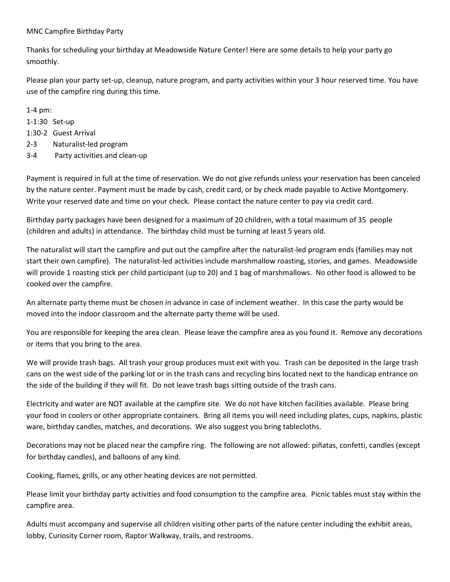## MNC Campfire Birthday Party

Thanks for scheduling your birthday at Meadowside Nature Center! Here are some details to help your party go smoothly.

Please plan your party set-up, cleanup, nature program, and party activities within your 3 hour reserved time. You have use of the campfire ring during this time.

1-4 pm:

1-1:30 Set-up

1:30-2 Guest Arrival

2-3 Naturalist-led program

3-4 Party activities and clean-up

Payment is required in full at the time of reservation. We do not give refunds unless your reservation has been canceled by the nature center. Payment must be made by cash, credit card, or by check made payable to Active Montgomery. Write your reserved date and time on your check. Please contact the nature center to pay via credit card.

Birthday party packages have been designed for a maximum of 20 children, with a total maximum of 35 people (children and adults) in attendance. The birthday child must be turning at least 5 years old.

The naturalist will start the campfire and put out the campfire after the naturalist-led program ends (families may not start their own campfire). The naturalist-led activities include marshmallow roasting, stories, and games. Meadowside will provide 1 roasting stick per child participant (up to 20) and 1 bag of marshmallows. No other food is allowed to be cooked over the campfire.

An alternate party theme must be chosen in advance in case of inclement weather. In this case the party would be moved into the indoor classroom and the alternate party theme will be used.

You are responsible for keeping the area clean. Please leave the campfire area as you found it. Remove any decorations or items that you bring to the area.

We will provide trash bags. All trash your group produces must exit with you. Trash can be deposited in the large trash cans on the west side of the parking lot or in the trash cans and recycling bins located next to the handicap entrance on the side of the building if they will fit. Do not leave trash bags sitting outside of the trash cans.

Electricity and water are NOT available at the campfire site. We do not have kitchen facilities available. Please bring your food in coolers or other appropriate containers. Bring all items you will need including plates, cups, napkins, plastic ware, birthday candles, matches, and decorations. We also suggest you bring tablecloths.

Decorations may not be placed near the campfire ring. The following are not allowed: piñatas, confetti, candles (except for birthday candles), and balloons of any kind.

Cooking, flames, grills, or any other heating devices are not permitted.

Please limit your birthday party activities and food consumption to the campfire area. Picnic tables must stay within the campfire area.

Adults must accompany and supervise all children visiting other parts of the nature center including the exhibit areas, lobby, Curiosity Corner room, Raptor Walkway, trails, and restrooms.